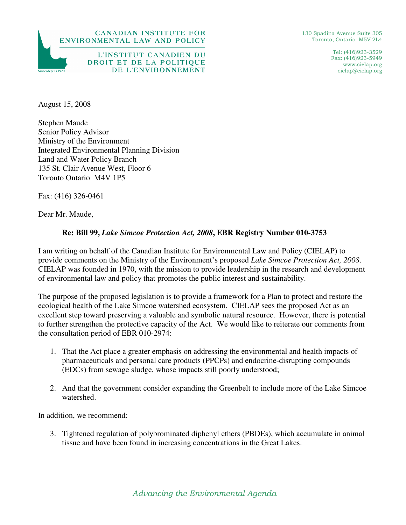

DE L'ENVIRONNEMENT

130 Spadina Avenue Suite 305 Toronto, Ontario M5V 2L4

> Tel: (416)923-3529 Fax: (416)923-5949 www.cielap.org cielap@cielap.org

August 15, 2008

Stephen Maude Senior Policy Advisor Ministry of the Environment Integrated Environmental Planning Division Land and Water Policy Branch 135 St. Clair Avenue West, Floor 6 Toronto Ontario M4V 1P5

Fax: (416) 326-0461

Dear Mr. Maude,

## **Re: Bill 99,** *Lake Simcoe Protection Act, 2008***, EBR Registry Number 010-3753**

I am writing on behalf of the Canadian Institute for Environmental Law and Policy (CIELAP) to provide comments on the Ministry of the Environment's proposed *Lake Simcoe Protection Act, 2008*. CIELAP was founded in 1970, with the mission to provide leadership in the research and development of environmental law and policy that promotes the public interest and sustainability.

The purpose of the proposed legislation is to provide a framework for a Plan to protect and restore the ecological health of the Lake Simcoe watershed ecosystem. CIELAP sees the proposed Act as an excellent step toward preserving a valuable and symbolic natural resource. However, there is potential to further strengthen the protective capacity of the Act. We would like to reiterate our comments from the consultation period of EBR 010-2974:

- 1. That the Act place a greater emphasis on addressing the environmental and health impacts of pharmaceuticals and personal care products (PPCPs) and endocrine-disrupting compounds (EDCs) from sewage sludge, whose impacts still poorly understood;
- 2. And that the government consider expanding the Greenbelt to include more of the Lake Simcoe watershed.

In addition, we recommend:

3. Tightened regulation of polybrominated diphenyl ethers (PBDEs), which accumulate in animal tissue and have been found in increasing concentrations in the Great Lakes.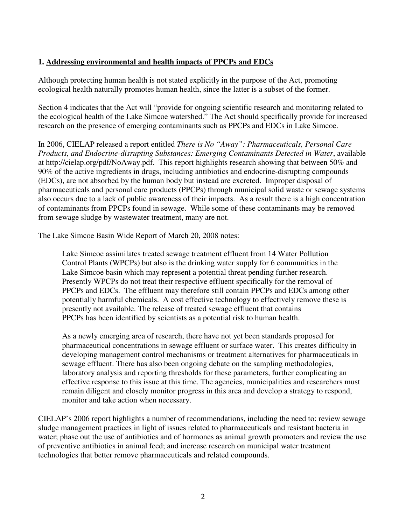## **1. Addressing environmental and health impacts of PPCPs and EDCs**

Although protecting human health is not stated explicitly in the purpose of the Act, promoting ecological health naturally promotes human health, since the latter is a subset of the former.

Section 4 indicates that the Act will "provide for ongoing scientific research and monitoring related to the ecological health of the Lake Simcoe watershed." The Act should specifically provide for increased research on the presence of emerging contaminants such as PPCPs and EDCs in Lake Simcoe.

In 2006, CIELAP released a report entitled *There is No "Away": Pharmaceuticals, Personal Care*  Products, and Endocrine-disrupting Substances: Emerging Contaminants Detected in Water, available at http://cielap.org/pdf/NoAway.pdf. This report highlights research showing that between 50% and 90% of the active ingredients in drugs, including antibiotics and endocrine-disrupting compounds (EDCs), are not absorbed by the human body but instead are excreted. Improper disposal of pharmaceuticals and personal care products (PPCPs) through municipal solid waste or sewage systems also occurs due to a lack of public awareness of their impacts. As a result there is a high concentration of contaminants from PPCPs found in sewage. While some of these contaminants may be removed from sewage sludge by wastewater treatment, many are not.

The Lake Simcoe Basin Wide Report of March 20, 2008 notes:

Lake Simcoe assimilates treated sewage treatment effluent from 14 Water Pollution Control Plants (WPCPs) but also is the drinking water supply for 6 communities in the Lake Simcoe basin which may represent a potential threat pending further research. Presently WPCPs do not treat their respective effluent specifically for the removal of PPCPs and EDCs. The effluent may therefore still contain PPCPs and EDCs among other potentially harmful chemicals. A cost effective technology to effectively remove these is presently not available. The release of treated sewage effluent that contains PPCPs has been identified by scientists as a potential risk to human health.

As a newly emerging area of research, there have not yet been standards proposed for pharmaceutical concentrations in sewage effluent or surface water. This creates difficulty in developing management control mechanisms or treatment alternatives for pharmaceuticals in sewage effluent. There has also been ongoing debate on the sampling methodologies, laboratory analysis and reporting thresholds for these parameters, further complicating an effective response to this issue at this time. The agencies, municipalities and researchers must remain diligent and closely monitor progress in this area and develop a strategy to respond, monitor and take action when necessary.

CIELAP's 2006 report highlights a number of recommendations, including the need to: review sewage sludge management practices in light of issues related to pharmaceuticals and resistant bacteria in water; phase out the use of antibiotics and of hormones as animal growth promoters and review the use of preventive antibiotics in animal feed; and increase research on municipal water treatment technologies that better remove pharmaceuticals and related compounds.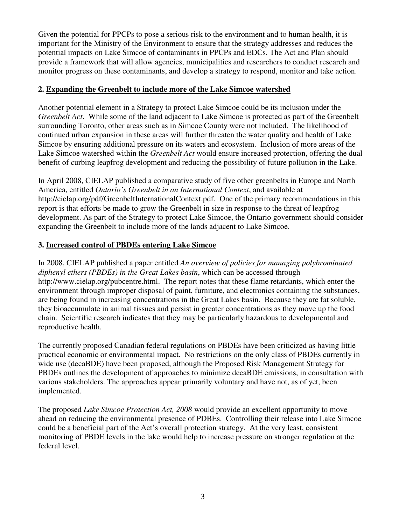Given the potential for PPCPs to pose a serious risk to the environment and to human health, it is important for the Ministry of the Environment to ensure that the strategy addresses and reduces the potential impacts on Lake Simcoe of contaminants in PPCPs and EDCs. The Act and Plan should provide a framework that will allow agencies, municipalities and researchers to conduct research and monitor progress on these contaminants, and develop a strategy to respond, monitor and take action.

## **2. Expanding the Greenbelt to include more of the Lake Simcoe watershed**

Another potential element in a Strategy to protect Lake Simcoe could be its inclusion under the *Greenbelt Act*. While some of the land adjacent to Lake Simcoe is protected as part of the Greenbelt surrounding Toronto, other areas such as in Simcoe County were not included. The likelihood of continued urban expansion in these areas will further threaten the water quality and health of Lake Simcoe by ensuring additional pressure on its waters and ecosystem. Inclusion of more areas of the Lake Simcoe watershed within the *Greenbelt Act* would ensure increased protection, offering the dual benefit of curbing leapfrog development and reducing the possibility of future pollution in the Lake.

In April 2008, CIELAP published a comparative study of five other greenbelts in Europe and North America, entitled *Ontario's Greenbelt in an International Context*, and available at http://cielap.org/pdf/GreenbeltInternationalContext.pdf. One of the primary recommendations in this report is that efforts be made to grow the Greenbelt in size in response to the threat of leapfrog development. As part of the Strategy to protect Lake Simcoe, the Ontario government should consider expanding the Greenbelt to include more of the lands adjacent to Lake Simcoe.

## **3. Increased control of PBDEs entering Lake Simcoe**

In 2008, CIELAP published a paper entitled *An overview of policies for managing polybrominated diphenyl ethers (PBDEs) in the Great Lakes basin*, which can be accessed through http://www.cielap.org/pubcentre.html. The report notes that these flame retardants, which enter the environment through improper disposal of paint, furniture, and electronics containing the substances, are being found in increasing concentrations in the Great Lakes basin. Because they are fat soluble, they bioaccumulate in animal tissues and persist in greater concentrations as they move up the food chain. Scientific research indicates that they may be particularly hazardous to developmental and reproductive health.

The currently proposed Canadian federal regulations on PBDEs have been criticized as having little practical economic or environmental impact. No restrictions on the only class of PBDEs currently in wide use (decaBDE) have been proposed, although the Proposed Risk Management Strategy for PBDEs outlines the development of approaches to minimize decaBDE emissions, in consultation with various stakeholders. The approaches appear primarily voluntary and have not, as of yet, been implemented.

The proposed *Lake Simcoe Protection Act, 2008* would provide an excellent opportunity to move ahead on reducing the environmental presence of PDBEs. Controlling their release into Lake Simcoe could be a beneficial part of the Act's overall protection strategy. At the very least, consistent monitoring of PBDE levels in the lake would help to increase pressure on stronger regulation at the federal level.